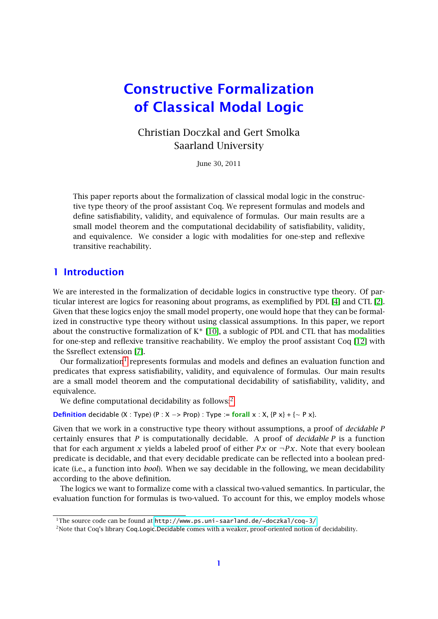# Constructive Formalization of Classical Modal Logic

## Christian Doczkal and Gert Smolka Saarland University

June 30, 2011

This paper reports about the formalization of classical modal logic in the constructive type theory of the proof assistant Coq. We represent formulas and models and define satisfiability, validity, and equivalence of formulas. Our main results are a small model theorem and the computational decidability of satisfiability, validity, and equivalence. We consider a logic with modalities for one-step and reflexive transitive reachability.

## 1 Introduction

We are interested in the formalization of decidable logics in constructive type theory. Of particular interest are logics for reasoning about programs, as exemplified by PDL [\[4\]](#page-10-0) and CTL [\[2\]](#page-10-1). Given that these logics enjoy the small model property, one would hope that they can be formalized in constructive type theory without using classical assumptions. In this paper, we report about the constructive formalization of  $K^*$  [\[10\]](#page-10-2), a sublogic of PDL and CTL that has modalities for one-step and reflexive transitive reachability. We employ the proof assistant Coq [\[12\]](#page-10-3) with the Ssreflect extension [\[7\]](#page-10-4).

Our formalization<sup>[1](#page-0-0)</sup> represents formulas and models and defines an evaluation function and predicates that express satisfiability, validity, and equivalence of formulas. Our main results are a small model theorem and the computational decidability of satisfiability, validity, and equivalence.

We define computational decidability as follows:<sup>[2](#page-0-1)</sup>

**Definition** decidable (X : Type) (P : X -> Prop) : Type := forall x : X, {P x} + {∼ P x}.

Given that we work in a constructive type theory without assumptions, a proof of *decidable P* certainly ensures that *P* is computationally decidable. A proof of *decidable P* is a function that for each argument *x* yields a labeled proof of either *Px* or  $\neg Px$ . Note that every boolean predicate is decidable, and that every decidable predicate can be reflected into a boolean predicate (i.e., a function into *bool*). When we say decidable in the following, we mean decidability according to the above definition.

The logics we want to formalize come with a classical two-valued semantics. In particular, the evaluation function for formulas is two-valued. To account for this, we employ models whose

<span id="page-0-0"></span><sup>&</sup>lt;sup>1</sup>The source code can be found at <http://www.ps.uni-saarland.de/~doczkal/coq-3/>

<span id="page-0-1"></span><sup>2</sup>Note that Coq's library Coq.Logic.Decidable comes with a weaker, proof-oriented notion of decidability.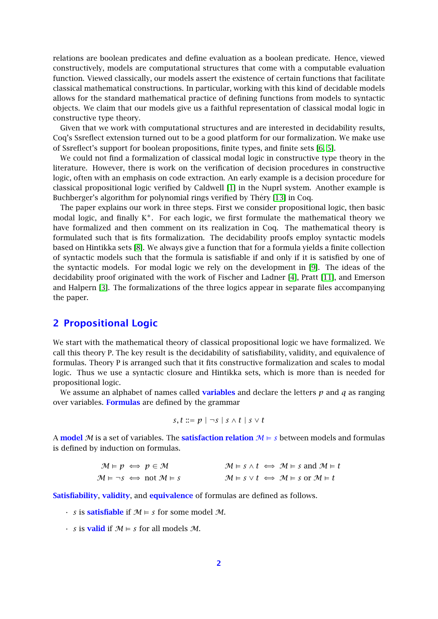relations are boolean predicates and define evaluation as a boolean predicate. Hence, viewed constructively, models are computational structures that come with a computable evaluation function. Viewed classically, our models assert the existence of certain functions that facilitate classical mathematical constructions. In particular, working with this kind of decidable models allows for the standard mathematical practice of defining functions from models to syntactic objects. We claim that our models give us a faithful representation of classical modal logic in constructive type theory.

Given that we work with computational structures and are interested in decidability results, Coq's Ssreflect extension turned out to be a good platform for our formalization. We make use of Ssreflect's support for boolean propositions, finite types, and finite sets [\[6,](#page-10-5) [5\]](#page-10-6).

We could not find a formalization of classical modal logic in constructive type theory in the literature. However, there is work on the verification of decision procedures in constructive logic, often with an emphasis on code extraction. An early example is a decision procedure for classical propositional logic verified by Caldwell [\[1\]](#page-10-7) in the Nuprl system. Another example is Buchberger's algorithm for polynomial rings verified by Théry [\[13\]](#page-10-8) in Coq.

The paper explains our work in three steps. First we consider propositional logic, then basic modal logic, and finally  $K^*$ . For each logic, we first formulate the mathematical theory we have formalized and then comment on its realization in Coq. The mathematical theory is formulated such that is fits formalization. The decidability proofs employ syntactic models based on Hintikka sets [\[8\]](#page-10-9). We always give a function that for a formula yields a finite collection of syntactic models such that the formula is satisfiable if and only if it is satisfied by one of the syntactic models. For modal logic we rely on the development in [\[9\]](#page-10-10). The ideas of the decidability proof originated with the work of Fischer and Ladner [\[4\]](#page-10-0), Pratt [\[11\]](#page-10-11), and Emerson and Halpern [\[3\]](#page-10-12). The formalizations of the three logics appear in separate files accompanying the paper.

#### 2 Propositional Logic

We start with the mathematical theory of classical propositional logic we have formalized. We call this theory P. The key result is the decidability of satisfiability, validity, and equivalence of formulas. Theory P is arranged such that it fits constructive formalization and scales to modal logic. Thus we use a syntactic closure and Hintikka sets, which is more than is needed for propositional logic.

We assume an alphabet of names called **variables** and declare the letters  $p$  and  $q$  as ranging over variables. Formulas are defined by the grammar

$$
s, t ::= p \mid \neg s \mid s \wedge t \mid s \vee t
$$

A model M is a set of variables. The **satisfaction relation**  $M \models s$  between models and formulas is defined by induction on formulas.

| $\mathcal{M} \models p \iff p \in \mathcal{M}$                      | $\mathcal{M} \models s \land t \iff \mathcal{M} \models s \text{ and } \mathcal{M} \models t$ |
|---------------------------------------------------------------------|-----------------------------------------------------------------------------------------------|
| $\mathcal{M} \models \neg s \iff \text{not } \mathcal{M} \models s$ | $\mathcal{M} \models s \vee t \iff \mathcal{M} \models s \text{ or } \mathcal{M} \models t$   |

Satisfiability, validity, and equivalence of formulas are defined as follows.

- $\cdot$  *s* is **satisfiable** if  $\mathcal{M} \models s$  for some model  $\mathcal{M}$ .
- $\cdot$  *s* is **valid** if  $\mathcal{M} \models s$  for all models  $\mathcal{M}$ .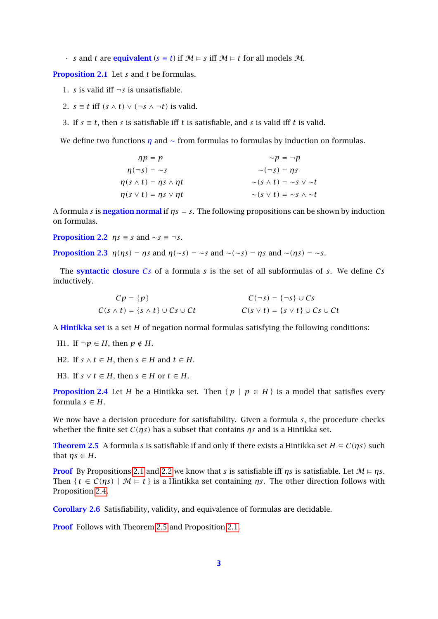• *s* and *t* are **equivalent** ( $s \equiv t$ ) if  $M \models s$  iff  $M \models t$  for all models M.

<span id="page-2-0"></span>Proposition 2.1 Let *s* and *t* be formulas.

- 1. *s* is valid iff  $\neg s$  is unsatisfiable.
- 2.  $s \equiv t$  iff  $(s \wedge t) \vee (\neg s \wedge \neg t)$  is valid.
- 3. If  $s \equiv t$ , then *s* is satisfiable iff *t* is satisfiable, and *s* is valid iff *t* is valid.

We define two functions  $\eta$  and  $\sim$  from formulas to formulas by induction on formulas.

$$
\begin{aligned}\n\eta p &= p &\sim p &= \neg p \\
\eta(\neg s) &= \sim s &\sim (\neg s) &= \eta s \\
\eta(s \land t) &= \eta s \land \eta t &\sim (s \land t) &= \sim s \lor \sim t \\
\eta(s \lor t) &= \eta s \lor \eta t &\sim (s \lor t) &= \sim s \land \sim t\n\end{aligned}
$$

<span id="page-2-1"></span>A formula *s* is negation normal if *ηs* = *s*. The following propositions can be shown by induction on formulas.

**Proposition 2.2**  $\eta s \equiv s$  and ∼*s*  $\equiv \neg s$ .

**Proposition 2.3**  $\eta(\eta s) = \eta s$  and  $\eta(\sim s) = \sim s$  and  $\sim(\sim s) = \eta s$  and  $\sim(\eta s) = \sim s$ .

The syntactic closure C*s* of a formula *s* is the set of all subformulas of *s*. We define C*s* inductively.

<span id="page-2-3"></span>
$$
Cp = \{p\}
$$
  
\n
$$
C(s \land t) = \{s \land t\} \cup Cs \cup Ct
$$
  
\n
$$
C(s \lor t) = \{s \lor t\} \cup Cs \cup Ct
$$
  
\n
$$
C(s \lor t) = \{s \lor t\} \cup Cs \cup Ct
$$

A Hintikka set is a set *H* of negation normal formulas satisfying the following conditions:

- H1. If  $\neg p \in H$ , then  $p \notin H$ .
- H2. If *s*  $\land$  *t* ∈ *H*, then *s* ∈ *H* and *t* ∈ *H*.

H3. If  $s \vee t \in H$ , then  $s \in H$  or  $t \in H$ .

<span id="page-2-2"></span>**Proposition 2.4** Let *H* be a Hintikka set. Then {  $p | p \in H$ } is a model that satisfies every formula  $s \in H$ .

We now have a decision procedure for satisfiability. Given a formula *s*, the procedure checks whether the finite set C*(ηs)* has a subset that contains *ηs* and is a Hintikka set.

**Theorem 2.5** A formula *s* is satisfiable if and only if there exists a Hintikka set  $H \subseteq C(\eta s)$  such that  $ns \in H$ .

**Proof** By Propositions [2.1](#page-2-0) and [2.2](#page-2-1) we know that *s* is satisfiable iff *ηs* is satisfiable. Let  $\mathcal{M} \models \eta s$ . Then  $\{t \in C(\eta s) \mid \mathcal{M} \models t\}$  is a Hintikka set containing  $\eta s$ . The other direction follows with Proposition [2.4.](#page-2-2)

<span id="page-2-4"></span>Corollary 2.6 Satisfiability, validity, and equivalence of formulas are decidable.

Proof Follows with Theorem [2.5](#page-2-3) and Proposition [2.1.](#page-2-0)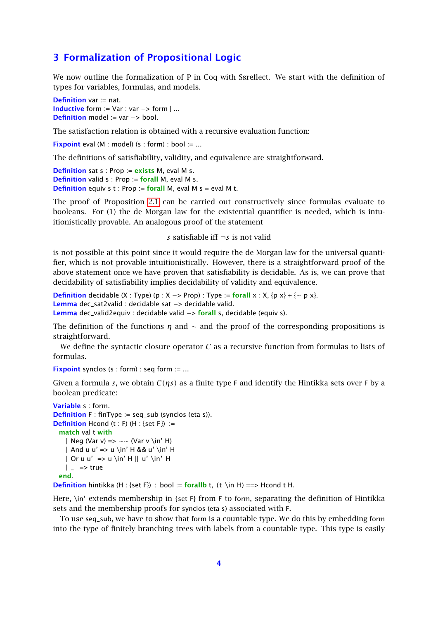#### 3 Formalization of Propositional Logic

We now outline the formalization of P in Coq with Ssreflect. We start with the definition of types for variables, formulas, and models.

Definition var := nat. Inductive form := Var : var −> form | ... Definition model := var -> bool.

The satisfaction relation is obtained with a recursive evaluation function:

**Fixpoint** eval (M : model) (s : form) : bool := ...

The definitions of satisfiability, validity, and equivalence are straightforward.

```
Definition sat s : Prop := exists M, eval M s.
Definition valid s : Prop := forall M, eval M s.
Definition equiv s t : Prop := forall M, eval M s = eval M t.
```
The proof of Proposition [2.1](#page-2-0) can be carried out constructively since formulas evaluate to booleans. For (1) the de Morgan law for the existential quantifier is needed, which is intuitionistically provable. An analogous proof of the statement

#### *s* satisfiable iff ¬*s* is not valid

is not possible at this point since it would require the de Morgan law for the universal quantifier, which is not provable intuitionistically. However, there is a straightforward proof of the above statement once we have proven that satisfiability is decidable. As is, we can prove that decidability of satisfiability implies decidability of validity and equivalence.

**Definition** decidable (X : Type) (p : X -> Prop) : Type := forall x : X, {p x} + {∼ p x}. Lemma dec\_sat2valid : decidable sat −> decidable valid. Lemma dec\_valid2equiv : decidable valid −> forall s, decidable (equiv s).

The definition of the functions *η* and ∼ and the proof of the corresponding propositions is straightforward.

We define the syntactic closure operator  $C$  as a recursive function from formulas to lists of formulas.

Fixpoint synclos (s : form) : seq form := ...

Given a formula *s*, we obtain C*(ηs)* as a finite type F and identify the Hintikka sets over F by a boolean predicate:

```
Variable s : form.
Definition F : finType := seq\_sub (synclos (eta s)).
Definition Hcond (t : F) (H : {set F}) :=
 match val t with
   | Neg (Var v) => ∼∼ (Var v \in' H)
   | And u u' => u \in' H && u' \in' H
   | Or u u' => u \in' H || u' \in' H
   | = > true
 end.
```
**Definition** hintikka (H : {set F}) : bool := **forallb** t, (t \in H) ==> Hcond t H.

Here, \in' extends membership in {set F} from F to form, separating the definition of Hintikka sets and the membership proofs for synclos (eta s) associated with F.

To use seq\_sub, we have to show that form is a countable type. We do this by embedding form into the type of finitely branching trees with labels from a countable type. This type is easily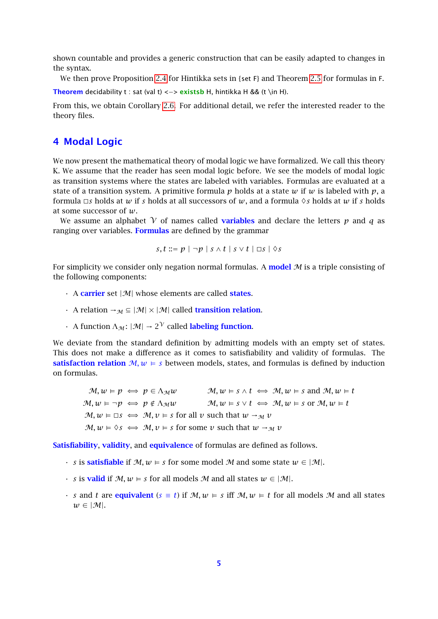shown countable and provides a generic construction that can be easily adapted to changes in the syntax.

We then prove Proposition [2.4](#page-2-2) for Hintikka sets in {set F} and Theorem [2.5](#page-2-3) for formulas in F.

Theorem decidability t : sat (val t) <-> existsb H, hintikka H && (t \in H).

From this, we obtain Corollary [2.6.](#page-2-4) For additional detail, we refer the interested reader to the theory files.

### 4 Modal Logic

We now present the mathematical theory of modal logic we have formalized. We call this theory K. We assume that the reader has seen modal logic before. We see the models of modal logic as transition systems where the states are labeled with variables. Formulas are evaluated at a state of a transition system. A primitive formula *p* holds at a state *w* if *w* is labeled with *p*, a formula  $\Box s$  holds at  $w$  if  $s$  holds at all successors of  $w$ , and a formula  $\diamond s$  holds at  $w$  if  $s$  holds at some successor of *w*.

We assume an alphabet  $\gamma$  of names called **variables** and declare the letters  $p$  and  $q$  as ranging over variables. Formulas are defined by the grammar

$$
s, t ::= p | \neg p | s \wedge t | s \vee t | \Box s | \Diamond s
$$

For simplicity we consider only negation normal formulas. A **model**  $M$  is a triple consisting of the following components:

- $\cdot$  A carrier set  $|\mathcal{M}|$  whose elements are called states.
- A relation  $\rightarrow_M \subseteq |\mathcal{M}| \times |\mathcal{M}|$  called **transition relation.**
- A function  $\Lambda_{\mathcal{M}}: |\mathcal{M}| \to 2^{\mathcal{V}}$  called labeling function.

We deviate from the standard definition by admitting models with an empty set of states. This does not make a difference as it comes to satisfiability and validity of formulas. The satisfaction relation  $M, w \models s$  between models, states, and formulas is defined by induction on formulas.

 $M, w \models p \iff p \in \Lambda_{\mathcal{M}} w$   $M, w \models s \land t \iff M, w \models s$  and  $M, w \models t$  $M, w \models \neg p \iff p \notin \Lambda_{\mathcal{M}} w$   $M, w \models s \lor t \iff M, w \models s \text{ or } M, w \models t$  $M, w \models \Box s \iff M, v \models s \text{ for all } v \text{ such that } w \to_M v$  $M, w \models \Diamond s \iff M, v \models s$  for some *v* such that  $w \rightarrow_M v$ 

Satisfiability, validity, and equivalence of formulas are defined as follows.

- *s* is **satisfiable** if  $M, w \models s$  for some model M and some state  $w \in |M|$ .
- *s* is **valid** if  $M, w \models s$  for all models M and all states  $w \in |M|$ .
- *s* and *t* are equivalent ( $s \equiv t$ ) if  $M, w \models s$  iff  $M, w \models t$  for all models M and all states  $w \in |\mathcal{M}|$ .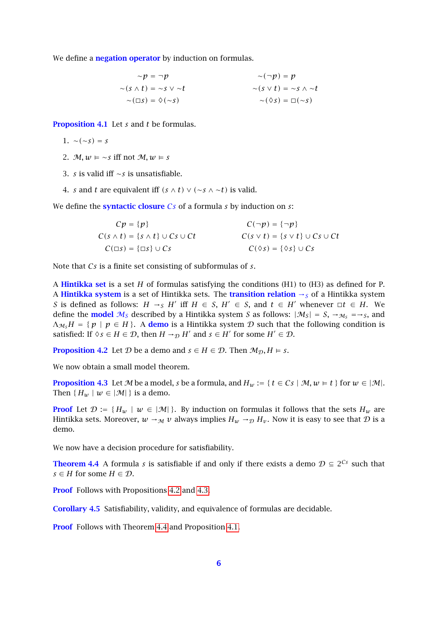We define a **negation operator** by induction on formulas.

$$
\sim p = \neg p \qquad \sim (\neg p) = p
$$
  
\n
$$
\sim (s \land t) = \sim s \lor \sim t \qquad \sim (s \lor t) = \sim s \land \sim t
$$
  
\n
$$
\sim (\Box s) = \Diamond (\sim s) \qquad \sim (\Diamond s) = \Box (\sim s)
$$

<span id="page-5-3"></span>Proposition 4.1 Let *s* and *t* be formulas.

$$
1. \sim (\sim s) = s
$$

- 2.  $M, w \models \sim s$  iff not  $M, w \models s$
- 3. *s* is valid iff ∼*s* is unsatisfiable.
- 4. *s* and *t* are equivalent iff  $(s \wedge t) \vee (\sim s \wedge \sim t)$  is valid.

We define the syntactic closure C*s* of a formula *s* by induction on *s*:

<span id="page-5-0"></span>

| $Cp = \{p\}$                                     | $C(\neg p) = {\neg p}$                       |
|--------------------------------------------------|----------------------------------------------|
| $C(s \wedge t) = \{s \wedge t\} \cup Cs \cup Ct$ | $C(s \vee t) = \{s \vee t\} \cup Cs \cup Ct$ |
| $C(\Box s) = {\Box s} \cup Cs$                   | $C(\Diamond s) = {\Diamond s} \cup Cs$       |

Note that C*s* is a finite set consisting of subformulas of *s*.

A Hintikka set is a set *H* of formulas satisfying the conditions (H1) to (H3) as defined for P. A Hintikka system is a set of Hintikka sets. The transition relation  $\rightarrow$ s of a Hintikka system S is defined as follows:  $H \rightarrow_S H'$  iff  $H \in S$ ,  $H' \in S$ , and  $t \in H'$  whenever  $\Box t \in H$ . We define the **model**  $M_S$  described by a Hintikka system S as follows:  $|M_S| = S$ ,  $\rightarrow M_S = S$ , and  $\Lambda_{M_s}H = \{ p \mid p \in H \}.$  A **demo** is a Hintikka system D such that the following condition is satisfied: If  $\Diamond s \in H \in \mathcal{D}$ , then  $H \rightarrow_{\mathcal{D}} H'$  and  $s \in H'$  for some  $H' \in \mathcal{D}$ .

**Proposition 4.2** Let D be a demo and  $s \in H \in \mathcal{D}$ . Then  $\mathcal{M}_{\mathcal{D}}, H \models s$ .

<span id="page-5-1"></span>We now obtain a small model theorem.

**Proposition 4.3** Let M be a model, *s* be a formula, and  $H_w := \{ t \in C s \mid M, w \in t \}$  for  $w \in |M|$ . Then  $\{H_w \mid w \in |\mathcal{M}|\}$  is a demo.

**Proof** Let  $\mathcal{D} := \{H_w \mid w \in |\mathcal{M}|\}\$ . By induction on formulas it follows that the sets  $H_w$  are Hintikka sets. Moreover,  $w \rightarrow_M v$  always implies  $H_w \rightarrow_D H_v$ . Now it is easy to see that D is a demo.

<span id="page-5-2"></span>We now have a decision procedure for satisfiability.

**Theorem 4.4** A formula *s* is satisfiable if and only if there exists a demo  $\mathcal{D} \subseteq 2^{Cs}$  such that *s* ∈ *H* for some *H* ∈ *D*.

**Proof** Follows with Propositions [4.2](#page-5-0) and [4.3.](#page-5-1)

<span id="page-5-4"></span>Corollary 4.5 Satisfiability, validity, and equivalence of formulas are decidable.

**Proof** Follows with Theorem [4.4](#page-5-2) and Proposition [4.1.](#page-5-3)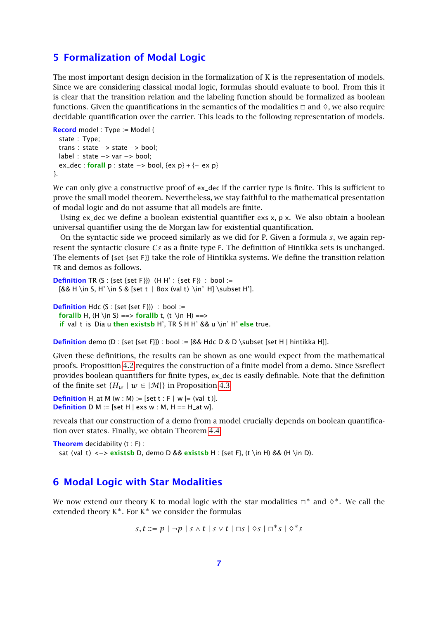#### <span id="page-6-0"></span>5 Formalization of Modal Logic

The most important design decision in the formalization of K is the representation of models. Since we are considering classical modal logic, formulas should evaluate to bool. From this it is clear that the transition relation and the labeling function should be formalized as boolean functions. Given the quantifications in the semantics of the modalities  $\Box$  and  $\Diamond$ , we also require decidable quantification over the carrier. This leads to the following representation of models.

```
Record model : Type := Model {
  state : Type;
  trans : state −> state −> bool;
  label : state −> var −> bool;
 ex_dec : forall p : state \rightarrow bool, {ex p} + {\sim ex p}
}.
```
We can only give a constructive proof of ex\_dec if the carrier type is finite. This is sufficient to prove the small model theorem. Nevertheless, we stay faithful to the mathematical presentation of modal logic and do not assume that all models are finite.

Using ex\_dec we define a boolean existential quantifier exs  $x$ ,  $p x$ . We also obtain a boolean universal quantifier using the de Morgan law for existential quantification.

On the syntactic side we proceed similarly as we did for P. Given a formula *s*, we again represent the syntactic closure C*s* as a finite type F. The definition of Hintikka sets is unchanged. The elements of {set {set F}} take the role of Hintikka systems. We define the transition relation TR and demos as follows.

```
Definition TR (S : {set {set F}}) (H H' : {set F}) : bool :=
  [&& H \in S, H' \in S & [set t | Box (val t) \in' H] \subset H'].
```

```
Definition Hdc (S : \{ set \{ set F \} \}) : bool :=
  forallb H, (H \in S) == forallb t, (t \in H) ==if val t is Dia u then existsb H', TR S H H' && u \in' H' else true.
```
**Definition** demo (D : {set {set F}}) : bool :=  $[&A \cup B \cup B]$  \subset [set H | hintikka H]].

Given these definitions, the results can be shown as one would expect from the mathematical proofs. Proposition [4.2](#page-5-0) requires the construction of a finite model from a demo. Since Ssreflect provides boolean quantifiers for finite types, ex\_dec is easily definable. Note that the definition of the finite set  $\{H_w \mid w \in |\mathcal{M}|\}$  in Proposition [4.3](#page-5-1)

**Definition** H\_at M (w : M) := [set t : F | w |= (val t)]. **Definition** D M := [set H | exs w : M, H == H\_at w].

reveals that our construction of a demo from a model crucially depends on boolean quantification over states. Finally, we obtain Theorem [4.4.](#page-5-2)

```
Theorem decidability (t : F):
 sat (val t) <-> existsb D, demo D && existsb H : {set F}, (t \in H) && (H \in D).
```
#### 6 Modal Logic with Star Modalities

We now extend our theory K to modal logic with the star modalities  $\Box^*$  and  $\diamond^*$ . We call the extended theory  $K^*$ . For  $K^*$  we consider the formulas

$$
s,t ::= p | \neg p | s \wedge t | s \vee t | \Box s | \Diamond s | \Box^* s | \Diamond^* s
$$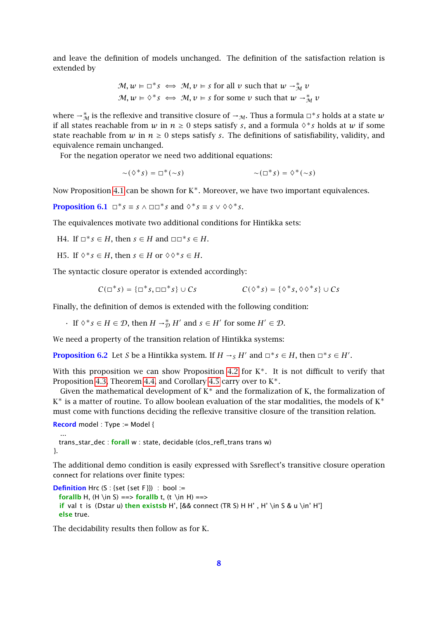and leave the definition of models unchanged. The definition of the satisfaction relation is extended by

$$
\mathcal{M}, w \vDash \Box^* s \iff \mathcal{M}, v \vDash s \text{ for all } v \text{ such that } w \to_M^* v
$$
  

$$
\mathcal{M}, w \vDash \Diamond^* s \iff \mathcal{M}, v \vDash s \text{ for some } v \text{ such that } w \to_M^* v
$$

where  $\rightarrow^*_{\mathcal{M}}$  is the reflexive and transitive closure of  $\rightarrow_{\mathcal{M}}$ . Thus a formula  $\Box^*s$  holds at a state  $w$ if all states reachable from  $w$  in  $n \geq 0$  steps satisfy  $s$ , and a formula  $\Diamond * s$  holds at  $w$  if some state reachable from  $w$  in  $n \geq 0$  steps satisfy *s*. The definitions of satisfiability, validity, and equivalence remain unchanged.

For the negation operator we need two additional equations:

$$
\sim(\Diamond^*s)=\Box^*(\sim s)\qquad\qquad\sim(\Box^*s)=\Diamond^*(\sim s)
$$

Now Proposition [4.1](#page-5-3) can be shown for  $K^*$ . Moreover, we have two important equivalences.

**Proposition 6.1**  $\Box^* s \equiv s \land \Box \Box^* s$  and  $\Diamond^* s \equiv s \lor \Diamond \Diamond^* s$ .

The equivalences motivate two additional conditions for Hintikka sets:

 $H4.$  If  $\Box^* s \in H$ , then  $s \in H$  and  $\Box \Box^* s \in H$ .

H5. If  $\Diamond^* s \in H$ , then  $s \in H$  or  $\Diamond \Diamond^* s \in H$ .

The syntactic closure operator is extended accordingly:

$$
C(\Box^* s) = \{\Box^* s, \Box \Box^* s\} \cup Cs \qquad \qquad C(\Diamond^* s) = \{\Diamond^* s, \Diamond \Diamond^* s\} \cup Cs
$$

Finally, the definition of demos is extended with the following condition:

• If  $\diamond^* s \in H \in \mathcal{D}$ , then  $H \to_D^* H'$  and  $s \in H'$  for some  $H' \in \mathcal{D}$ .

We need a property of the transition relation of Hintikka systems:

**Proposition 6.2** Let *S* be a Hintikka system. If  $H \rightarrow_S H'$  and  $\Box^* s \in H$ , then  $\Box^* s \in H'$ .

With this proposition we can show Proposition [4.2](#page-5-0) for  $K^*$ . It is not difficult to verify that Proposition [4.3,](#page-5-1) Theorem [4.4,](#page-5-2) and Corollary [4.5](#page-5-4) carry over to  $K^*$ .

Given the mathematical development of  $K^*$  and the formalization of K, the formalization of  $K^*$  is a matter of routine. To allow boolean evaluation of the star modalities, the models of  $K^*$ must come with functions deciding the reflexive transitive closure of the transition relation.

Record model : Type := Model {

...

trans\_star\_dec : forall w : state, decidable (clos\_refl\_trans trans w) }.

The additional demo condition is easily expressed with Ssreflect's transitive closure operation connect for relations over finite types:

```
Definition Hrc (S : \{ set \} { set F}) : bool :=
  forallb H, (H \in S) == > forallb t, (t \in H) == >if val t is (Dstar u) then existsb H', [&& connect (TR S) H H', H' \in S & u \in' H']
  else true.
```
The decidability results then follow as for K.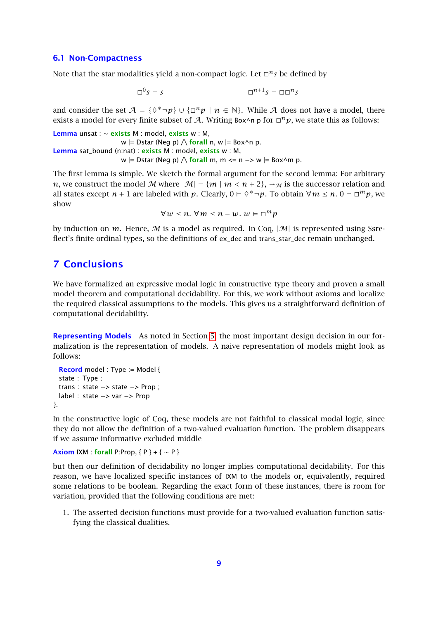#### 6.1 Non-Compactness

Note that the star modalities yield a non-compact logic. Let  $\Box^n s$  be defined by

$$
\Box^0 s = s \qquad \Box^{n+1} s = \Box \Box^n s
$$

and consider the set  $A = \{ \Diamond^* \neg p \} \cup \{ \Box^n p \mid n \in \mathbb{N} \}$ . While A does not have a model, there exists a model for every finite subset of A. Writing Box^n p for  $\Box^{n}p$ , we state this as follows:

```
Lemma unsat : ∼ exists M : model, exists w : M,
                          w \models \text{Dstar} (Neg p) \bigwedge \text{for all } n, w \models \text{Box}^{\wedge} n p.
Lemma sat_bound (n:nat) : exists M : model, exists w : M,
                          w |= Dstar (Neg p) \wedge forall m, m <= n -> w |= Box^m p.
```
The first lemma is simple. We sketch the formal argument for the second lemma: For arbitrary *n*, we construct the model M where  $|M| = \{m \mid m < n + 2\}$ ,  $\rightarrow_M$  is the successor relation and all states except  $n + 1$  are labeled with  $p$ . Clearly,  $0 \models \Diamond^* \neg p$ . To obtain  $\forall m \leq n$ .  $0 \models \Box^m p$ , we show

$$
\forall w \leq n. \ \forall m \leq n - w. \ w \in \Box^m p
$$

by induction on *m*. Hence, *M* is a model as required. In Coq,  $|\mathcal{M}|$  is represented using Ssreflect's finite ordinal types, so the definitions of ex\_dec and trans\_star\_dec remain unchanged.

### 7 Conclusions

We have formalized an expressive modal logic in constructive type theory and proven a small model theorem and computational decidability. For this, we work without axioms and localize the required classical assumptions to the models. This gives us a straightforward definition of computational decidability.

Representing Models As noted in Section [5,](#page-6-0) the most important design decision in our formalization is the representation of models. A naive representation of models might look as follows:

```
Record model : Type := Model {
 state : Type ;
 trans : state −> state −> Prop ;
 label : state −> var −> Prop
}.
```
In the constructive logic of Coq, these models are not faithful to classical modal logic, since they do not allow the definition of a two-valued evaluation function. The problem disappears if we assume informative excluded middle

```
Axiom IXM : forall P:Prop, {P} + { \sim P}
```
but then our definition of decidability no longer implies computational decidability. For this reason, we have localized specific instances of IXM to the models or, equivalently, required some relations to be boolean. Regarding the exact form of these instances, there is room for variation, provided that the following conditions are met:

1. The asserted decision functions must provide for a two-valued evaluation function satisfying the classical dualities.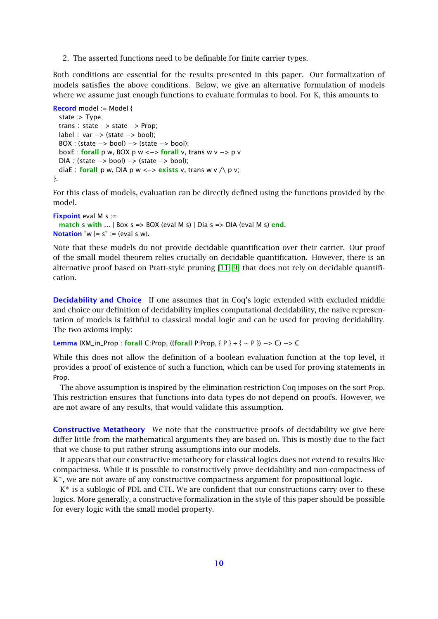2. The asserted functions need to be definable for finite carrier types.

Both conditions are essential for the results presented in this paper. Our formalization of models satisfies the above conditions. Below, we give an alternative formulation of models where we assume just enough functions to evaluate formulas to bool. For K, this amounts to

```
Record model := Model {
  state :> Type;
  trans : state −> state −> Prop;
  label : var −> (state −> bool);
  BOX : (state -> bool) -> (state -> bool);
  boxE : forall p w, BOX p w <\rightarrow forall v, trans w v \rightarrow p v
  DIA : (state −> bool) −> (state −> bool);
  diaE : forall p w, DIA p w <-> exists v, trans w v \wedge p v;
}.
```
For this class of models, evaluation can be directly defined using the functions provided by the model.

```
Fixpoint eval M s :=
  match s with \ldots | Box s => BOX (eval M s) | Dia s => DIA (eval M s) end.
Notation "w = s" := (eval s w).
```
Note that these models do not provide decidable quantification over their carrier. Our proof of the small model theorem relies crucially on decidable quantification. However, there is an alternative proof based on Pratt-style pruning [\[11,](#page-10-11) [9\]](#page-10-10) that does not rely on decidable quantification.

**Decidability and Choice** If one assumes that in Coq's logic extended with excluded middle and choice our definition of decidability implies computational decidability, the naive representation of models is faithful to classical modal logic and can be used for proving decidability. The two axioms imply:

Lemma  $IXM_in_Prop : for all C:Prop, ((for all P:Prop, {P} + { ~ P}) + { ~ P}) \rightarrow C$ ) −> C

While this does not allow the definition of a boolean evaluation function at the top level, it provides a proof of existence of such a function, which can be used for proving statements in Prop.

The above assumption is inspired by the elimination restriction Coq imposes on the sort Prop. This restriction ensures that functions into data types do not depend on proofs. However, we are not aware of any results, that would validate this assumption.

**Constructive Metatheory** We note that the constructive proofs of decidability we give here differ little from the mathematical arguments they are based on. This is mostly due to the fact that we chose to put rather strong assumptions into our models.

It appears that our constructive metatheory for classical logics does not extend to results like compactness. While it is possible to constructively prove decidability and non-compactness of K<sup>\*</sup>, we are not aware of any constructive compactness argument for propositional logic.

K<sup>\*</sup> is a sublogic of PDL and CTL. We are confident that our constructions carry over to these logics. More generally, a constructive formalization in the style of this paper should be possible for every logic with the small model property.